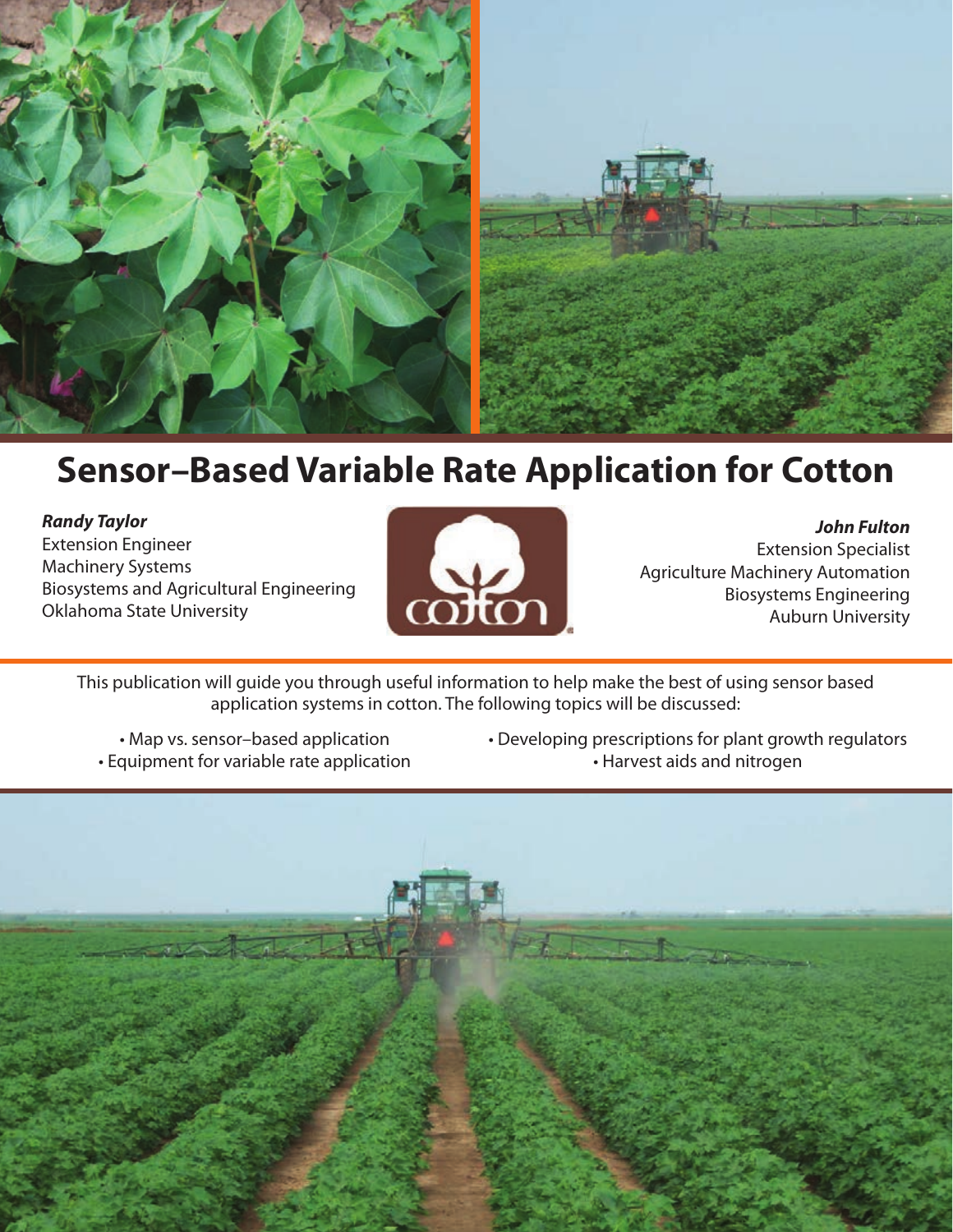

# **Sensor–Based Variable Rate Application for Cotton**

*Randy Taylor* Extension Engineer Machinery Systems Biosystems and Agricultural Engineering Oklahoma State University



*John Fulton* Extension Specialist Agriculture Machinery Automation Biosystems Engineering Auburn University

This publication will guide you through useful information to help make the best of using sensor based application systems in cotton. The following topics will be discussed:

- Map vs. sensor–based application • Equipment for variable rate application
- Developing prescriptions for plant growth regulators • Harvest aids and nitrogen

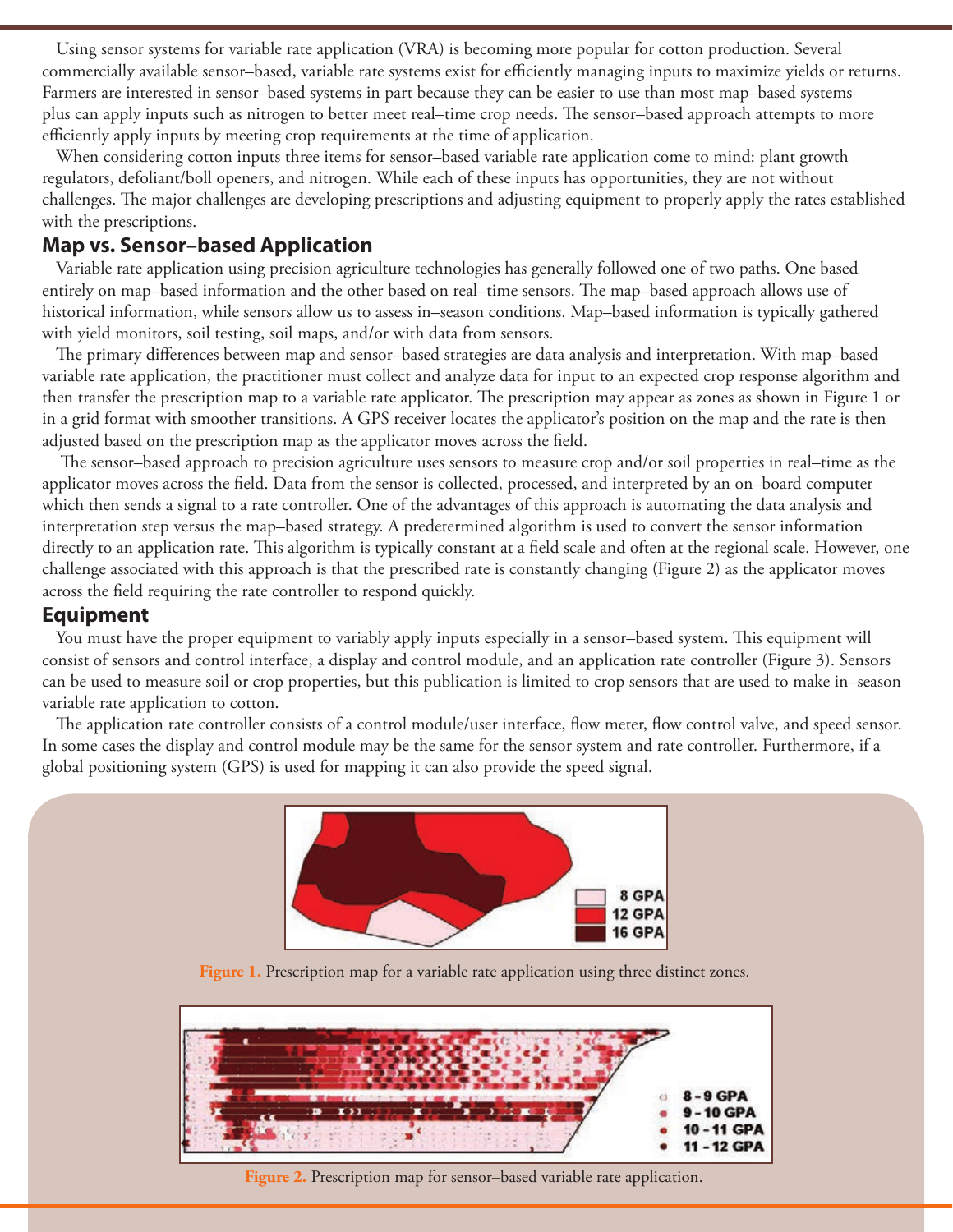Using sensor systems for variable rate application (VRA) is becoming more popular for cotton production. Several commercially available sensor–based, variable rate systems exist for efficiently managing inputs to maximize yields or returns. Farmers are interested in sensor–based systems in part because they can be easier to use than most map–based systems plus can apply inputs such as nitrogen to better meet real–time crop needs. The sensor–based approach attempts to more efficiently apply inputs by meeting crop requirements at the time of application.

When considering cotton inputs three items for sensor–based variable rate application come to mind: plant growth regulators, defoliant/boll openers, and nitrogen. While each of these inputs has opportunities, they are not without challenges. The major challenges are developing prescriptions and adjusting equipment to properly apply the rates established with the prescriptions.

## **Map vs. Sensor–based Application**

Variable rate application using precision agriculture technologies has generally followed one of two paths. One based entirely on map–based information and the other based on real–time sensors. The map–based approach allows use of historical information, while sensors allow us to assess in–season conditions. Map–based information is typically gathered with yield monitors, soil testing, soil maps, and/or with data from sensors.

The primary differences between map and sensor–based strategies are data analysis and interpretation. With map–based variable rate application, the practitioner must collect and analyze data for input to an expected crop response algorithm and then transfer the prescription map to a variable rate applicator. The prescription may appear as zones as shown in Figure 1 or in a grid format with smoother transitions. A GPS receiver locates the applicator's position on the map and the rate is then adjusted based on the prescription map as the applicator moves across the field.

 The sensor–based approach to precision agriculture uses sensors to measure crop and/or soil properties in real–time as the applicator moves across the field. Data from the sensor is collected, processed, and interpreted by an on–board computer which then sends a signal to a rate controller. One of the advantages of this approach is automating the data analysis and interpretation step versus the map–based strategy. A predetermined algorithm is used to convert the sensor information directly to an application rate. This algorithm is typically constant at a field scale and often at the regional scale. However, one challenge associated with this approach is that the prescribed rate is constantly changing (Figure 2) as the applicator moves across the field requiring the rate controller to respond quickly.

## **Equipment**

You must have the proper equipment to variably apply inputs especially in a sensor–based system. This equipment will consist of sensors and control interface, a display and control module, and an application rate controller (Figure 3). Sensors can be used to measure soil or crop properties, but this publication is limited to crop sensors that are used to make in–season variable rate application to cotton.

The application rate controller consists of a control module/user interface, flow meter, flow control valve, and speed sensor. In some cases the display and control module may be the same for the sensor system and rate controller. Furthermore, if a global positioning system (GPS) is used for mapping it can also provide the speed signal.



**Figure 1.** Prescription map for a variable rate application using three distinct zones.



**Figure 2.** Prescription map for sensor–based variable rate application.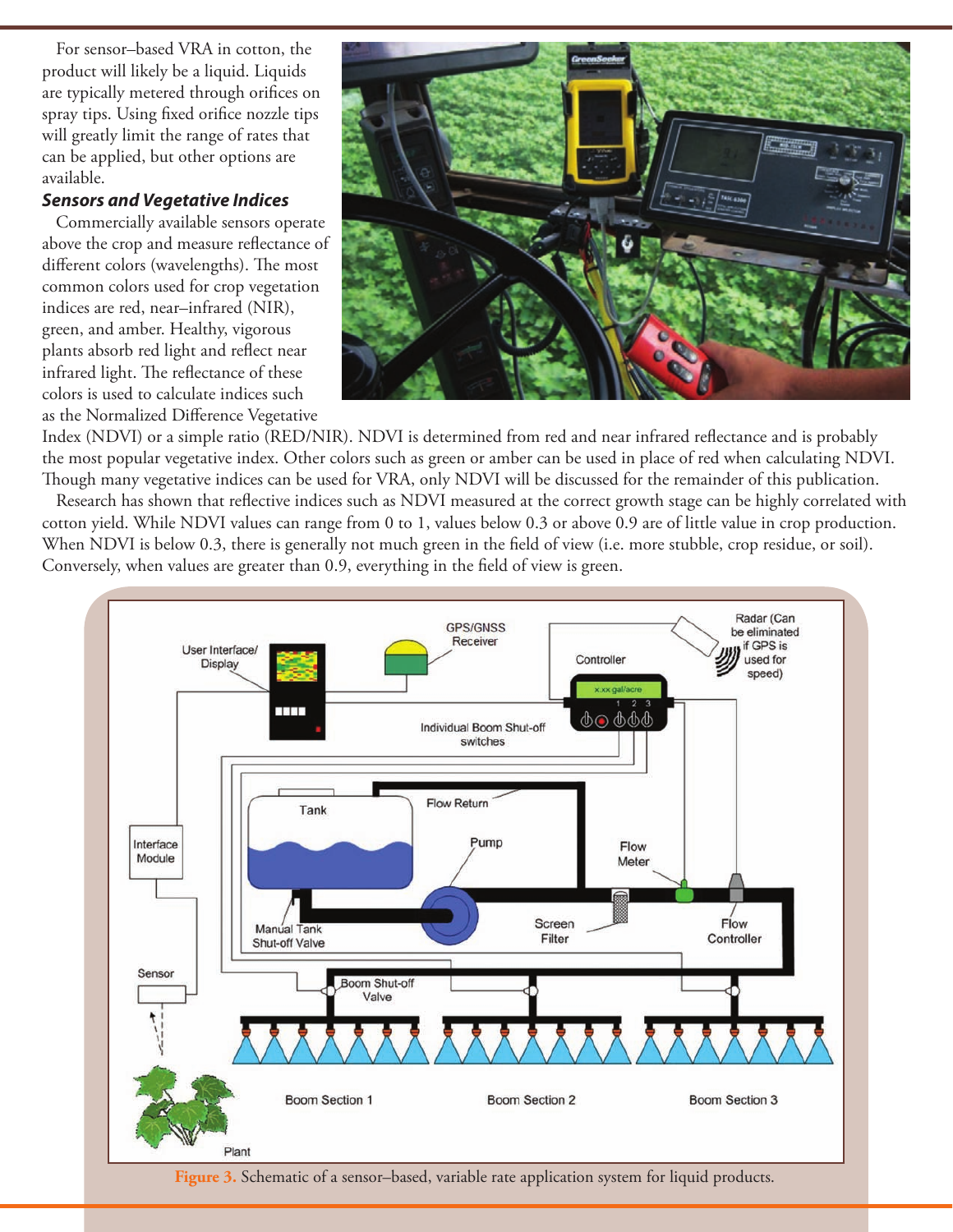For sensor–based VRA in cotton, the product will likely be a liquid. Liquids are typically metered through orifices on spray tips. Using fixed orifice nozzle tips will greatly limit the range of rates that can be applied, but other options are available.

### *Sensors and Vegetative Indices*

Commercially available sensors operate above the crop and measure reflectance of different colors (wavelengths). The most common colors used for crop vegetation indices are red, near–infrared (NIR), green, and amber. Healthy, vigorous plants absorb red light and reflect near infrared light. The reflectance of these colors is used to calculate indices such as the Normalized Difference Vegetative



Index (NDVI) or a simple ratio (RED/NIR). NDVI is determined from red and near infrared reflectance and is probably the most popular vegetative index. Other colors such as green or amber can be used in place of red when calculating NDVI. Though many vegetative indices can be used for VRA, only NDVI will be discussed for the remainder of this publication.

Research has shown that reflective indices such as NDVI measured at the correct growth stage can be highly correlated with cotton yield. While NDVI values can range from 0 to 1, values below 0.3 or above 0.9 are of little value in crop production. When NDVI is below 0.3, there is generally not much green in the field of view (i.e. more stubble, crop residue, or soil). Conversely, when values are greater than 0.9, everything in the field of view is green.



**Figure 3.** Schematic of a sensor–based, variable rate application system for liquid products.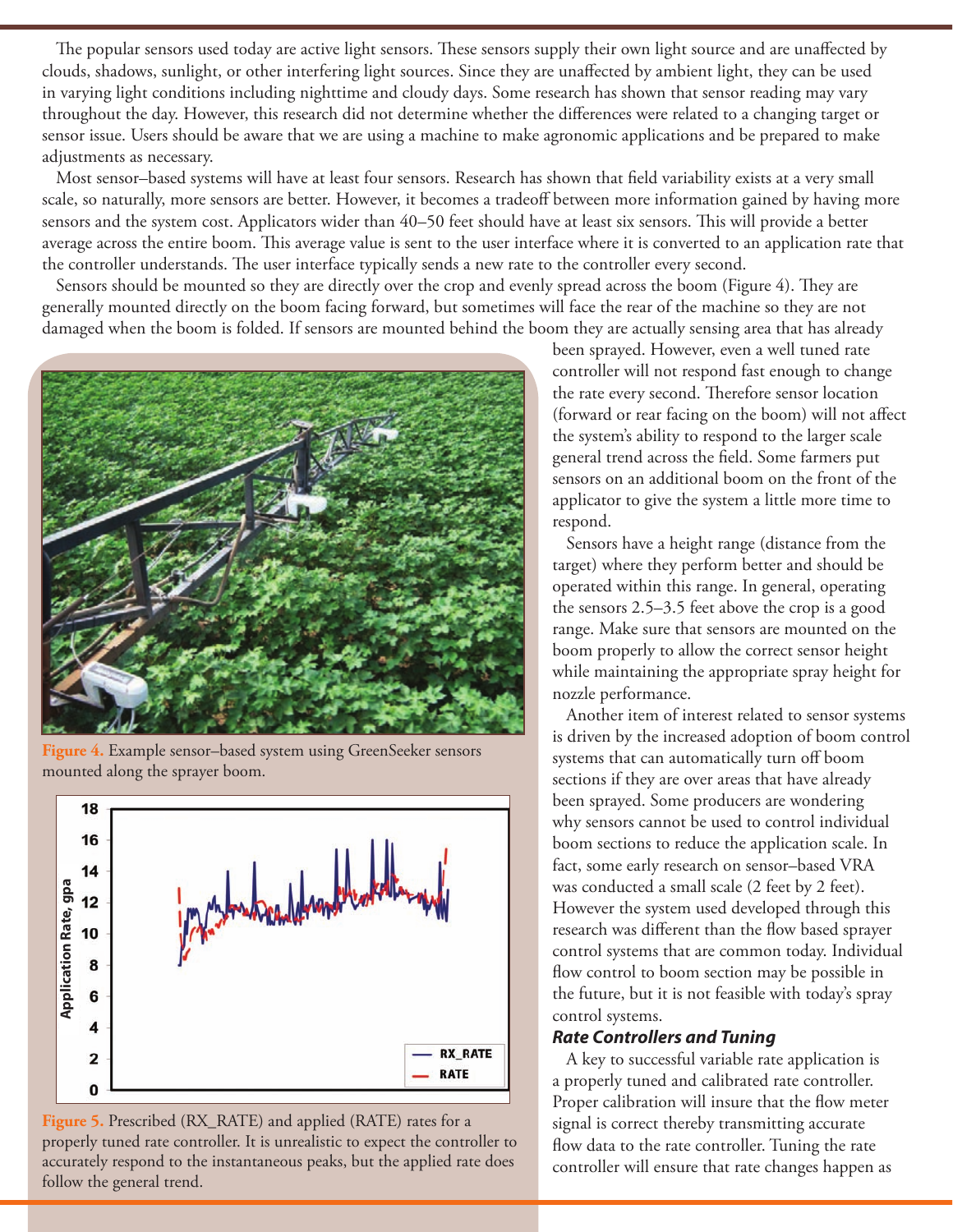The popular sensors used today are active light sensors. These sensors supply their own light source and are unaffected by clouds, shadows, sunlight, or other interfering light sources. Since they are unaffected by ambient light, they can be used in varying light conditions including nighttime and cloudy days. Some research has shown that sensor reading may vary throughout the day. However, this research did not determine whether the differences were related to a changing target or sensor issue. Users should be aware that we are using a machine to make agronomic applications and be prepared to make adjustments as necessary.

Most sensor–based systems will have at least four sensors. Research has shown that field variability exists at a very small scale, so naturally, more sensors are better. However, it becomes a tradeoff between more information gained by having more sensors and the system cost. Applicators wider than 40–50 feet should have at least six sensors. This will provide a better average across the entire boom. This average value is sent to the user interface where it is converted to an application rate that the controller understands. The user interface typically sends a new rate to the controller every second.

Sensors should be mounted so they are directly over the crop and evenly spread across the boom (Figure 4). They are generally mounted directly on the boom facing forward, but sometimes will face the rear of the machine so they are not damaged when the boom is folded. If sensors are mounted behind the boom they are actually sensing area that has already



**Figure 4.** Example sensor–based system using GreenSeeker sensors mounted along the sprayer boom.





been sprayed. However, even a well tuned rate controller will not respond fast enough to change the rate every second. Therefore sensor location (forward or rear facing on the boom) will not affect the system's ability to respond to the larger scale general trend across the field. Some farmers put sensors on an additional boom on the front of the applicator to give the system a little more time to respond.

Sensors have a height range (distance from the target) where they perform better and should be operated within this range. In general, operating the sensors 2.5–3.5 feet above the crop is a good range. Make sure that sensors are mounted on the boom properly to allow the correct sensor height while maintaining the appropriate spray height for nozzle performance.

Another item of interest related to sensor systems is driven by the increased adoption of boom control systems that can automatically turn off boom sections if they are over areas that have already been sprayed. Some producers are wondering why sensors cannot be used to control individual boom sections to reduce the application scale. In fact, some early research on sensor–based VRA was conducted a small scale (2 feet by 2 feet). However the system used developed through this research was different than the flow based sprayer control systems that are common today. Individual flow control to boom section may be possible in the future, but it is not feasible with today's spray control systems.

## *Rate Controllers and Tuning*

A key to successful variable rate application is a properly tuned and calibrated rate controller. Proper calibration will insure that the flow meter signal is correct thereby transmitting accurate flow data to the rate controller. Tuning the rate controller will ensure that rate changes happen as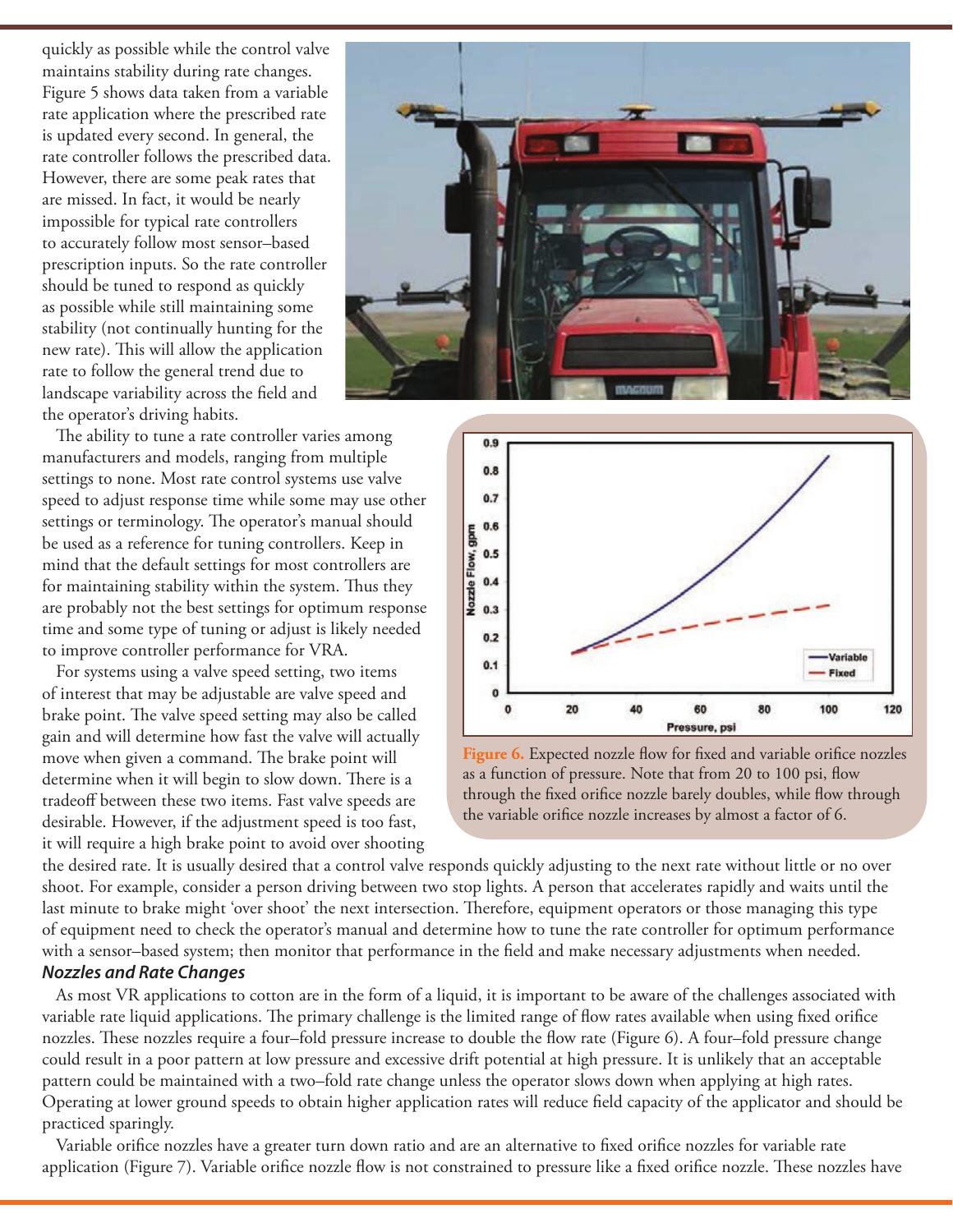quickly as possible while the control valve maintains stability during rate changes. Figure 5 shows data taken from a variable rate application where the prescribed rate is updated every second. In general, the rate controller follows the prescribed data. However, there are some peak rates that are missed. In fact, it would be nearly impossible for typical rate controllers to accurately follow most sensor–based prescription inputs. So the rate controller should be tuned to respond as quickly as possible while still maintaining some stability (not continually hunting for the new rate). This will allow the application rate to follow the general trend due to landscape variability across the field and the operator's driving habits.

The ability to tune a rate controller varies among manufacturers and models, ranging from multiple settings to none. Most rate control systems use valve speed to adjust response time while some may use other settings or terminology. The operator's manual should be used as a reference for tuning controllers. Keep in mind that the default settings for most controllers are for maintaining stability within the system. Thus they are probably not the best settings for optimum response time and some type of tuning or adjust is likely needed to improve controller performance for VRA.

For systems using a valve speed setting, two items of interest that may be adjustable are valve speed and brake point. The valve speed setting may also be called gain and will determine how fast the valve will actually move when given a command. The brake point will determine when it will begin to slow down. There is a tradeoff between these two items. Fast valve speeds are desirable. However, if the adjustment speed is too fast, it will require a high brake point to avoid over shooting





Figure 6. Expected nozzle flow for fixed and variable orifice nozzles as a function of pressure. Note that from 20 to 100 psi, flow through the fixed orifice nozzle barely doubles, while flow through the variable orifice nozzle increases by almost a factor of 6.

the desired rate. It is usually desired that a control valve responds quickly adjusting to the next rate without little or no over shoot. For example, consider a person driving between two stop lights. A person that accelerates rapidly and waits until the last minute to brake might 'over shoot' the next intersection. Therefore, equipment operators or those managing this type of equipment need to check the operator's manual and determine how to tune the rate controller for optimum performance with a sensor–based system; then monitor that performance in the field and make necessary adjustments when needed.

#### *Nozzles and Rate Changes*

As most VR applications to cotton are in the form of a liquid, it is important to be aware of the challenges associated with variable rate liquid applications. The primary challenge is the limited range of flow rates available when using fixed orifice nozzles. These nozzles require a four–fold pressure increase to double the flow rate (Figure 6). A four–fold pressure change could result in a poor pattern at low pressure and excessive drift potential at high pressure. It is unlikely that an acceptable pattern could be maintained with a two–fold rate change unless the operator slows down when applying at high rates. Operating at lower ground speeds to obtain higher application rates will reduce field capacity of the applicator and should be practiced sparingly.

Variable orifice nozzles have a greater turn down ratio and are an alternative to fixed orifice nozzles for variable rate application (Figure 7). Variable orifice nozzle flow is not constrained to pressure like a fixed orifice nozzle. These nozzles have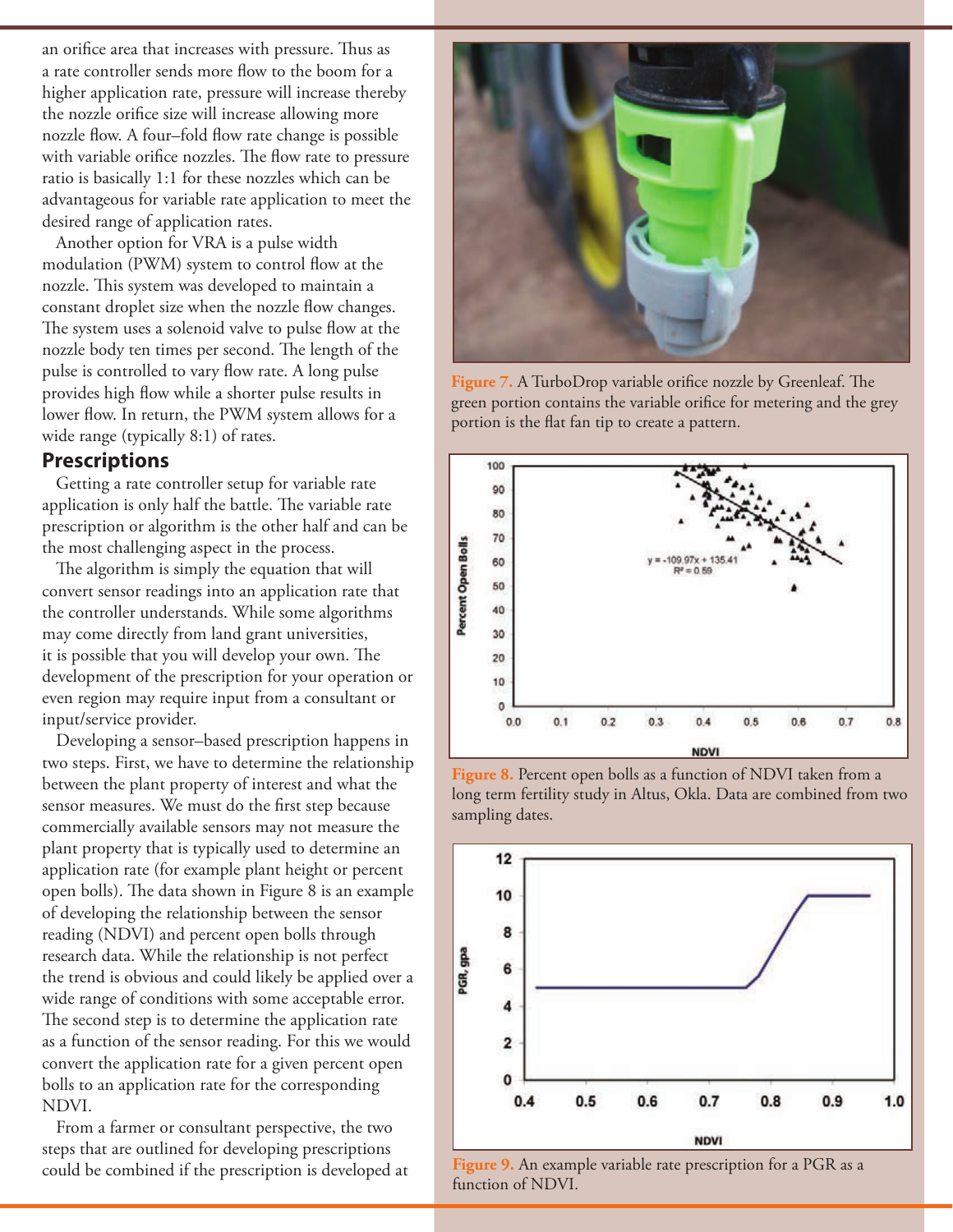an orifice area that increases with pressure. Thus as a rate controller sends more flow to the boom for a higher application rate, pressure will increase thereby the nozzle orifice size will increase allowing more nozzle flow. A four–fold flow rate change is possible with variable orifice nozzles. The flow rate to pressure ratio is basically 1:1 for these nozzles which can be advantageous for variable rate application to meet the desired range of application rates.

Another option for VRA is a pulse width modulation (PWM) system to control flow at the nozzle. This system was developed to maintain a constant droplet size when the nozzle flow changes. The system uses a solenoid valve to pulse flow at the nozzle body ten times per second. The length of the pulse is controlled to vary flow rate. A long pulse provides high flow while a shorter pulse results in lower flow. In return, the PWM system allows for a wide range (typically 8:1) of rates.

## **Prescriptions**

Getting a rate controller setup for variable rate application is only half the battle. The variable rate prescription or algorithm is the other half and can be the most challenging aspect in the process.

The algorithm is simply the equation that will convert sensor readings into an application rate that the controller understands. While some algorithms may come directly from land grant universities, it is possible that you will develop your own. The development of the prescription for your operation or even region may require input from a consultant or input/service provider.

Developing a sensor–based prescription happens in two steps. First, we have to determine the relationship between the plant property of interest and what the sensor measures. We must do the first step because commercially available sensors may not measure the plant property that is typically used to determine an application rate (for example plant height or percent open bolls). The data shown in Figure 8 is an example of developing the relationship between the sensor reading (NDVI) and percent open bolls through research data. While the relationship is not perfect the trend is obvious and could likely be applied over a wide range of conditions with some acceptable error. The second step is to determine the application rate as a function of the sensor reading. For this we would convert the application rate for a given percent open bolls to an application rate for the corresponding NDVI.

From a farmer or consultant perspective, the two steps that are outlined for developing prescriptions could be combined if the prescription is developed at



**Figure 7.** A TurboDrop variable orifice nozzle by Greenleaf. The green portion contains the variable orifice for metering and the grey portion is the flat fan tip to create a pattern.



**Figure 8.** Percent open bolls as a function of NDVI taken from a long term fertility study in Altus, Okla. Data are combined from two sampling dates.



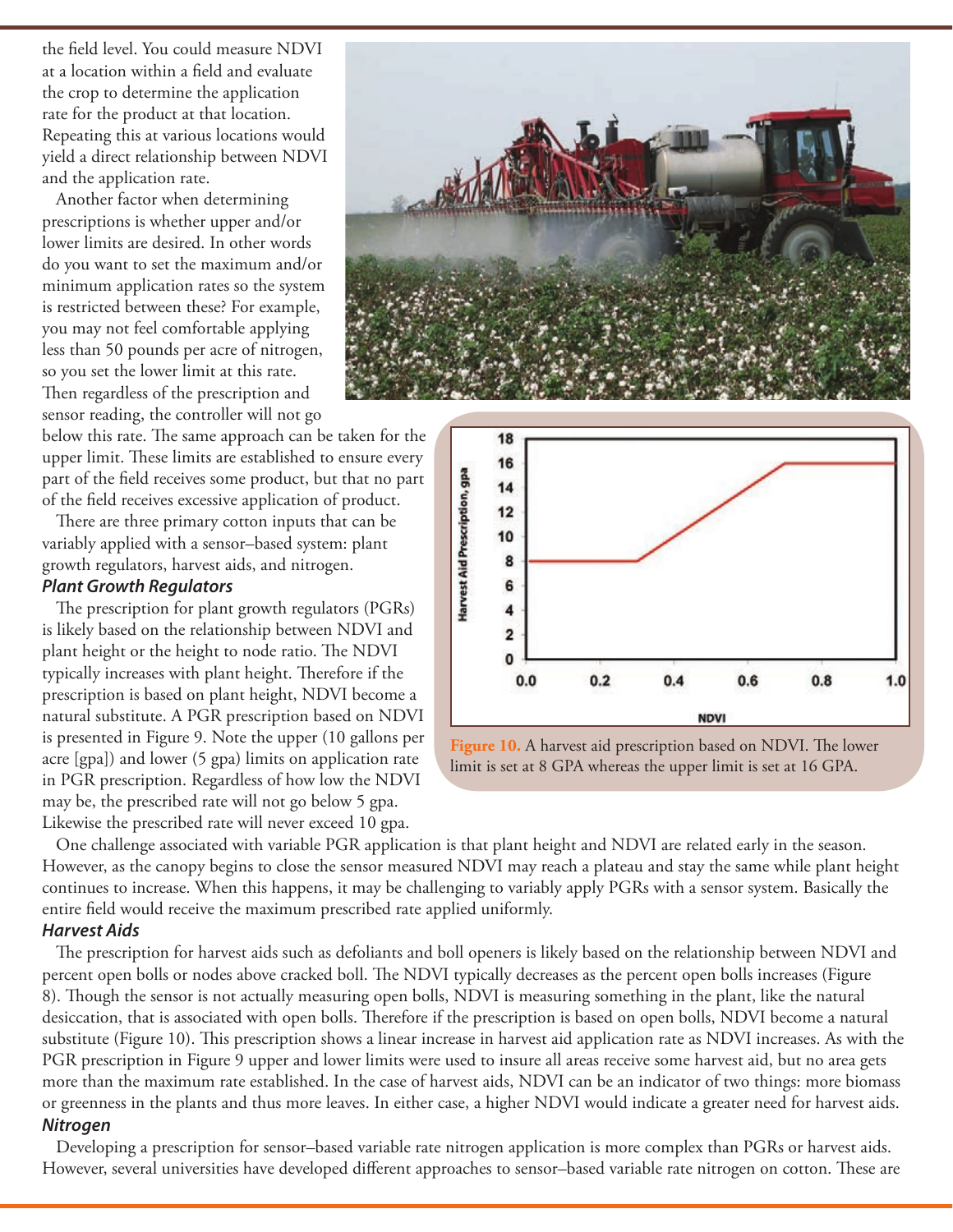the field level. You could measure NDVI at a location within a field and evaluate the crop to determine the application rate for the product at that location. Repeating this at various locations would yield a direct relationship between NDVI and the application rate.

Another factor when determining prescriptions is whether upper and/or lower limits are desired. In other words do you want to set the maximum and/or minimum application rates so the system is restricted between these? For example, you may not feel comfortable applying less than 50 pounds per acre of nitrogen, so you set the lower limit at this rate. Then regardless of the prescription and sensor reading, the controller will not go

below this rate. The same approach can be taken for the upper limit. These limits are established to ensure every part of the field receives some product, but that no part of the field receives excessive application of product.

There are three primary cotton inputs that can be variably applied with a sensor–based system: plant growth regulators, harvest aids, and nitrogen.

#### *Plant Growth Regulators*

The prescription for plant growth regulators (PGRs) is likely based on the relationship between NDVI and plant height or the height to node ratio. The NDVI typically increases with plant height. Therefore if the prescription is based on plant height, NDVI become a natural substitute. A PGR prescription based on NDVI is presented in Figure 9. Note the upper (10 gallons per acre [gpa]) and lower (5 gpa) limits on application rate in PGR prescription. Regardless of how low the NDVI may be, the prescribed rate will not go below 5 gpa. Likewise the prescribed rate will never exceed 10 gpa.





**Figure 10.** A harvest aid prescription based on NDVI. The lower limit is set at 8 GPA whereas the upper limit is set at 16 GPA.

One challenge associated with variable PGR application is that plant height and NDVI are related early in the season. However, as the canopy begins to close the sensor measured NDVI may reach a plateau and stay the same while plant height continues to increase. When this happens, it may be challenging to variably apply PGRs with a sensor system. Basically the entire field would receive the maximum prescribed rate applied uniformly.

#### *Harvest Aids*

The prescription for harvest aids such as defoliants and boll openers is likely based on the relationship between NDVI and percent open bolls or nodes above cracked boll. The NDVI typically decreases as the percent open bolls increases (Figure 8). Though the sensor is not actually measuring open bolls, NDVI is measuring something in the plant, like the natural desiccation, that is associated with open bolls. Therefore if the prescription is based on open bolls, NDVI become a natural substitute (Figure 10). This prescription shows a linear increase in harvest aid application rate as NDVI increases. As with the PGR prescription in Figure 9 upper and lower limits were used to insure all areas receive some harvest aid, but no area gets more than the maximum rate established. In the case of harvest aids, NDVI can be an indicator of two things: more biomass or greenness in the plants and thus more leaves. In either case, a higher NDVI would indicate a greater need for harvest aids.

#### *Nitrogen*

Developing a prescription for sensor–based variable rate nitrogen application is more complex than PGRs or harvest aids. However, several universities have developed different approaches to sensor–based variable rate nitrogen on cotton. These are